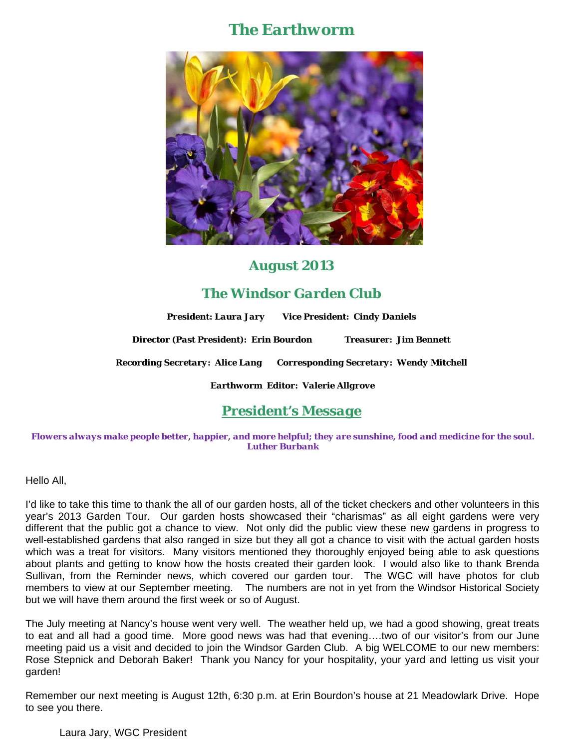# *The Earthworm*



### *August 2013*

## *The Windsor Garden Club*

*President: Laura Jary Vice President: Cindy Daniels*

*Director (Past President): Erin Bourdon Treasurer: Jim Bennett* 

*Recording Secretary: Alice Lang Corresponding Secretary: Wendy Mitchell* 

*Earthworm Editor: Valerie Allgrove*

## *President's Message*

*Flowers always make people better, happier, and more helpful; they are sunshine, food and medicine for the soul. Luther Burbank*

Hello All,

I'd like to take this time to thank the all of our garden hosts, all of the ticket checkers and other volunteers in this year's 2013 Garden Tour. Our garden hosts showcased their "charismas" as all eight gardens were very different that the public got a chance to view. Not only did the public view these new gardens in progress to well-established gardens that also ranged in size but they all got a chance to visit with the actual garden hosts which was a treat for visitors. Many visitors mentioned they thoroughly enjoyed being able to ask questions about plants and getting to know how the hosts created their garden look. I would also like to thank Brenda Sullivan, from the Reminder news, which covered our garden tour. The WGC will have photos for club members to view at our September meeting. The numbers are not in yet from the Windsor Historical Society but we will have them around the first week or so of August.

The July meeting at Nancy's house went very well. The weather held up, we had a good showing, great treats to eat and all had a good time. More good news was had that evening….two of our visitor's from our June meeting paid us a visit and decided to join the Windsor Garden Club. A big WELCOME to our new members: Rose Stepnick and Deborah Baker! Thank you Nancy for your hospitality, your yard and letting us visit your garden!

Remember our next meeting is August 12th, 6:30 p.m. at Erin Bourdon's house at 21 Meadowlark Drive. Hope to see you there.

Laura Jary, WGC President